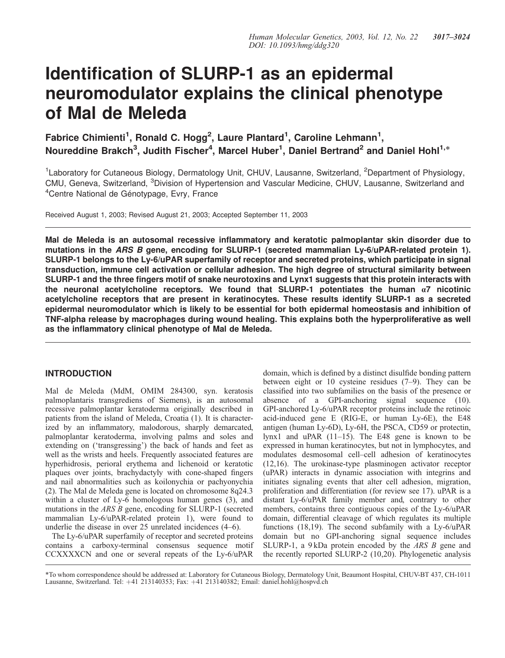# Identification of SLURP-1 as an epidermal neuromodulator explains the clinical phenotype of Mal de Meleda

Fabrice Chimienti<sup>1</sup>, Ronald C. Hogg<sup>2</sup>, Laure Plantard<sup>1</sup>, Caroline Lehmann<sup>1</sup>, Noureddine Brakch<sup>3</sup>, Judith Fischer<sup>4</sup>, Marcel Huber<sup>1</sup>, Daniel Bertrand<sup>2</sup> and Daniel Hohl<sup>1,\*</sup>

<sup>1</sup> Laboratory for Cutaneous Biology, Dermatology Unit, CHUV, Lausanne, Switzerland, <sup>2</sup> Department of Physiology, CMU, Geneva, Switzerland, <sup>3</sup>Division of Hypertension and Vascular Medicine, CHUV, Lausanne, Switzerland and <sup>4</sup> Centre National de Génotypage, Evry, France

Received August 1, 2003; Revised August 21, 2003; Accepted September 11, 2003

Mal de Meleda is an autosomal recessive inflammatory and keratotic palmoplantar skin disorder due to mutations in the ARS B gene, encoding for SLURP-1 (secreted mammalian Ly-6/uPAR-related protein 1). SLURP-1 belongs to the Ly-6/uPAR superfamily of receptor and secreted proteins, which participate in signal transduction, immune cell activation or cellular adhesion. The high degree of structural similarity between SLURP-1 and the three fingers motif of snake neurotoxins and Lynx1 suggests that this protein interacts with the neuronal acetylcholine receptors. We found that SLURP-1 potentiates the human *a*7 nicotinic acetylcholine receptors that are present in keratinocytes. These results identify SLURP-1 as a secreted epidermal neuromodulator which is likely to be essential for both epidermal homeostasis and inhibition of TNF-alpha release by macrophages during wound healing. This explains both the hyperproliferative as well as the inflammatory clinical phenotype of Mal de Meleda.

# INTRODUCTION

Mal de Meleda (MdM, OMIM 284300, syn. keratosis palmoplantaris transgrediens of Siemens), is an autosomal recessive palmoplantar keratoderma originally described in patients from the island of Meleda, Croatia (1). It is characterized by an inflammatory, malodorous, sharply demarcated, palmoplantar keratoderma, involving palms and soles and extending on ('transgressing') the back of hands and feet as well as the wrists and heels. Frequently associated features are hyperhidrosis, perioral erythema and lichenoid or keratotic plaques over joints, brachydactyly with cone-shaped fingers and nail abnormalities such as koilonychia or pachyonychia (2). The Mal de Meleda gene is located on chromosome 8q24.3 within a cluster of Ly-6 homologous human genes (3), and mutations in the ARS B gene, encoding for SLURP-1 (secreted mammalian Ly-6/uPAR-related protein 1), were found to underlie the disease in over 25 unrelated incidences (4–6).

The Ly-6/uPAR superfamily of receptor and secreted proteins contains a carboxy-terminal consensus sequence motif CCXXXXCN and one or several repeats of the Ly-6/uPAR

domain, which is defined by a distinct disulfide bonding pattern between eight or 10 cysteine residues (7–9). They can be classified into two subfamilies on the basis of the presence or absence of a GPI-anchoring signal sequence (10). GPI-anchored Ly-6/uPAR receptor proteins include the retinoic acid-induced gene E (RIG-E, or human Ly-6E), the E48 antigen (human Ly-6D), Ly-6H, the PSCA, CD59 or protectin, lynx1 and uPAR (11–15). The E48 gene is known to be expressed in human keratinocytes, but not in lymphocytes, and modulates desmosomal cell–cell adhesion of keratinocytes (12,16). The urokinase-type plasminogen activator receptor (uPAR) interacts in dynamic association with integrins and initiates signaling events that alter cell adhesion, migration, proliferation and differentiation (for review see 17). uPAR is a distant Ly-6/uPAR family member and, contrary to other members, contains three contiguous copies of the Ly-6/uPAR domain, differential cleavage of which regulates its multiple functions (18,19). The second subfamily with a Ly-6/uPAR domain but no GPI-anchoring signal sequence includes SLURP-1, a  $9 \text{kDa}$  protein encoded by the ARS B gene and the recently reported SLURP-2 (10,20). Phylogenetic analysis

\*To whom correspondence should be addressed at: Laboratory for Cutaneous Biology, Dermatology Unit, Beaumont Hospital, CHUV-BT 437, CH-1011 Lausanne, Switzerland. Tel: +41 213140353; Fax: +41 213140382; Email: daniel.hohl@hospvd.ch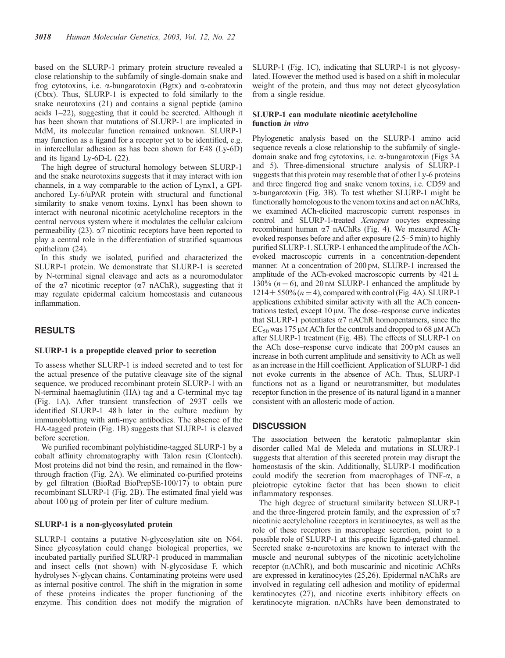based on the SLURP-1 primary protein structure revealed a close relationship to the subfamily of single-domain snake and frog cytotoxins, i.e.  $\alpha$ -bungarotoxin (Bgtx) and  $\alpha$ -cobratoxin (Cbtx). Thus, SLURP-1 is expected to fold similarly to the snake neurotoxins (21) and contains a signal peptide (amino acids 1–22), suggesting that it could be secreted. Although it has been shown that mutations of SLURP-1 are implicated in MdM, its molecular function remained unknown. SLURP-1 may function as a ligand for a receptor yet to be identified, e.g. in intercellular adhesion as has been shown for E48 (Ly-6D) and its ligand Ly-6D-L (22).

The high degree of structural homology between SLURP-1 and the snake neurotoxins suggests that it may interact with ion channels, in a way comparable to the action of Lynx1, a GPIanchored Ly-6/uPAR protein with structural and functional similarity to snake venom toxins. Lynx1 has been shown to interact with neuronal nicotinic acetylcholine receptors in the central nervous system where it modulates the cellular calcium permeability (23).  $\alpha$ 7 nicotinic receptors have been reported to play a central role in the differentiation of stratified squamous epithelium (24).

In this study we isolated, purified and characterized the SLURP-1 protein. We demonstrate that SLURP-1 is secreted by N-terminal signal cleavage and acts as a neuromodulator of the  $\alpha$ 7 nicotinic receptor ( $\alpha$ 7 nAChR), suggesting that it may regulate epidermal calcium homeostasis and cutaneous inflammation.

# RESULTS

#### SLURP-1 is a propeptide cleaved prior to secretion

To assess whether SLURP-1 is indeed secreted and to test for the actual presence of the putative cleavage site of the signal sequence, we produced recombinant protein SLURP-1 with an N-terminal haemaglutinin (HA) tag and a C-terminal myc tag (Fig. 1A). After transient transfection of 293T cells we identified SLURP-1 48h later in the culture medium by immunoblotting with anti-myc antibodies. The absence of the HA-tagged protein (Fig. 1B) suggests that SLURP-1 is cleaved before secretion.

We purified recombinant polyhistidine-tagged SLURP-1 by a cobalt affinity chromatography with Talon resin (Clontech). Most proteins did not bind the resin, and remained in the flowthrough fraction (Fig. 2A). We eliminated co-purified proteins by gel filtration (BioRad BioPrepSE-100/17) to obtain pure recombinant SLURP-1 (Fig. 2B). The estimated final yield was about  $100 \mu$ g of protein per liter of culture medium.

# SLURP-1 is a non-glycosylated protein

SLURP-1 contains a putative N-glycosylation site on N64. Since glycosylation could change biological properties, we incubated partially purified SLURP-1 produced in mammalian and insect cells (not shown) with N-glycosidase F, which hydrolyses N-glycan chains. Contaminating proteins were used as internal positive control. The shift in the migration in some of these proteins indicates the proper functioning of the enzyme. This condition does not modify the migration of SLURP-1 (Fig. 1C), indicating that SLURP-1 is not glycosylated. However the method used is based on a shift in molecular weight of the protein, and thus may not detect glycosylation from a single residue.

#### SLURP-1 can modulate nicotinic acetylcholine function in vitro

Phylogenetic analysis based on the SLURP-1 amino acid sequence reveals a close relationship to the subfamily of singledomain snake and frog cytotoxins, i.e. a-bungarotoxin (Figs 3A and 5). Three-dimensional structure analysis of SLURP-1 suggests that this protein may resemble that of other Ly-6 proteins and three fingered frog and snake venom toxins, i.e. CD59 and a-bungarotoxin (Fig. 3B). To test whether SLURP-1 might be functionally homologous to the venom toxins and act on nAChRs, we examined ACh-elicited macroscopic current responses in control and SLURP-1-treated Xenopus oocytes expressing recombinant human  $\alpha$ 7 nAChRs (Fig. 4). We measured AChevoked responses before and after exposure (2.5–5 min) to highly purified SLURP-1. SLURP-1 enhanced the amplitude of the AChevoked macroscopic currents in a concentration-dependent manner. At a concentration of 200 pM, SLURP-1 increased the amplitude of the ACh-evoked macroscopic currents by  $421 \pm$ 130% ( $n = 6$ ), and 20 nM SLURP-1 enhanced the amplitude by  $1214 \pm 550\%$  ( $n = 4$ ), compared with control (Fig. 4A). SLURP-1 applications exhibited similar activity with all the ACh concentrations tested, except  $10 \mu$ M. The dose–response curve indicates that SLURP-1 potentiates  $\alpha$ 7 nAChR homopentamers, since the  $EC_{50}$  was 175 µM ACh for the controls and dropped to 68 µM ACh after SLURP-1 treatment (Fig. 4B). The effects of SLURP-1 on the ACh dose–response curve indicate that 200 pM causes an increase in both current amplitude and sensitivity to ACh as well as an increase in the Hill coefficient. Application of SLURP-1 did not evoke currents in the absence of ACh. Thus, SLURP-1 functions not as a ligand or neurotransmitter, but modulates receptor function in the presence of its natural ligand in a manner consistent with an allosteric mode of action.

#### **DISCUSSION**

The association between the keratotic palmoplantar skin disorder called Mal de Meleda and mutations in SLURP-1 suggests that alteration of this secreted protein may disrupt the homeostasis of the skin. Additionally, SLURP-1 modification could modify the secretion from macrophages of TNF- $\alpha$ , a pleiotropic cytokine factor that has been shown to elicit inflammatory responses.

The high degree of structural similarity between SLURP-1 and the three-fingered protein family, and the expression of  $\alpha$ 7 nicotinic acetylcholine receptors in keratinocytes, as well as the role of these receptors in macrophage secretion, point to a possible role of SLURP-1 at this specific ligand-gated channel. Secreted snake  $\alpha$ -neurotoxins are known to interact with the muscle and neuronal subtypes of the nicotinic acetylcholine receptor (nAChR), and both muscarinic and nicotinic AChRs are expressed in keratinocytes (25,26). Epidermal nAChRs are involved in regulating cell adhesion and motility of epidermal keratinocytes (27), and nicotine exerts inhibitory effects on keratinocyte migration. nAChRs have been demonstrated to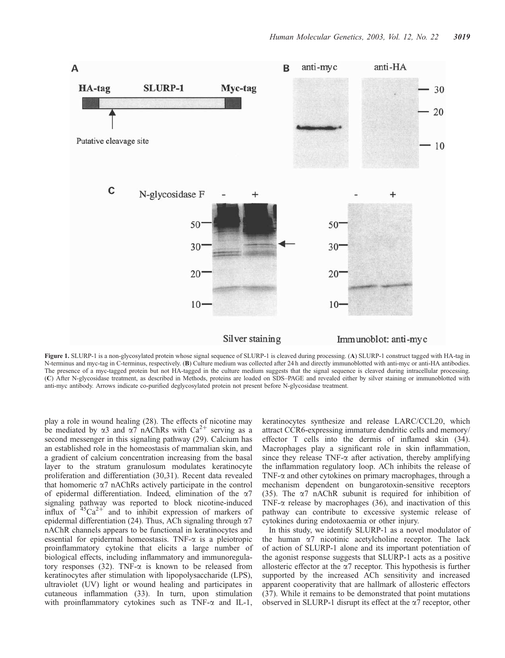

Figure 1. SLURP-1 is a non-glycosylated protein whose signal sequence of SLURP-1 is cleaved during processing. (A) SLURP-1 construct tagged with HA-tag in N-terminus and myc-tag in C-terminus, respectively. (B) Culture medium was collected after 24 h and directly immunoblotted with anti-myc or anti-HA antibodies. The presence of a myc-tagged protein but not HA-tagged in the culture medium suggests that the signal sequence is cleaved during intracellular processing. (C) After N-glycosidase treatment, as described in Methods, proteins are loaded on SDS–PAGE and revealed either by silver staining or immunoblotted with anti-myc antibody. Arrows indicate co-purified deglycosylated protein not present before N-glycosidase treatment.

play a role in wound healing (28). The effects of nicotine may be mediated by  $\alpha$ 3 and  $\alpha$ 7 nAChRs with Ca<sup>2+</sup> serving as a second messenger in this signaling pathway (29). Calcium has an established role in the homeostasis of mammalian skin, and a gradient of calcium concentration increasing from the basal layer to the stratum granulosum modulates keratinocyte proliferation and differentiation (30,31). Recent data revealed that homomeric  $\alpha$ 7 nAChRs actively participate in the control of epidermal differentiation. Indeed, elimination of the  $\alpha$ 7 signaling pathway was reported to block nicotine-induced influx of  $45Ca^{2+}$  and to inhibit expression of markers of epidermal differentiation (24). Thus, ACh signaling through  $\alpha$ 7 nAChR channels appears to be functional in keratinocytes and essential for epidermal homeostasis. TNF- $\alpha$  is a pleiotropic proinflammatory cytokine that elicits a large number of biological effects, including inflammatory and immunoregulatory responses (32). TNF- $\alpha$  is known to be released from keratinocytes after stimulation with lipopolysaccharide (LPS), ultraviolet (UV) light or wound healing and participates in cutaneous inflammation (33). In turn, upon stimulation with proinflammatory cytokines such as  $TNF-\alpha$  and IL-1,

keratinocytes synthesize and release LARC/CCL20, which attract CCR6-expressing immature dendritic cells and memory/ effector T cells into the dermis of inflamed skin (34). Macrophages play a significant role in skin inflammation, since they release TNF- $\alpha$  after activation, thereby amplifying the inflammation regulatory loop. ACh inhibits the release of TNF- $\alpha$  and other cytokines on primary macrophages, through a mechanism dependent on bungarotoxin-sensitive receptors (35). The  $\alpha$ 7 nAChR subunit is required for inhibition of TNF- $\alpha$  release by macrophages (36), and inactivation of this pathway can contribute to excessive systemic release of cytokines during endotoxaemia or other injury.

In this study, we identify SLURP-1 as a novel modulator of the human  $\alpha$ 7 nicotinic acetylcholine receptor. The lack of action of SLURP-1 alone and its important potentiation of the agonist response suggests that SLURP-1 acts as a positive allosteric effector at the  $\alpha$ 7 receptor. This hypothesis is further supported by the increased ACh sensitivity and increased apparent cooperativity that are hallmark of allosteric effectors (37). While it remains to be demonstrated that point mutations observed in SLURP-1 disrupt its effect at the  $\alpha$ 7 receptor, other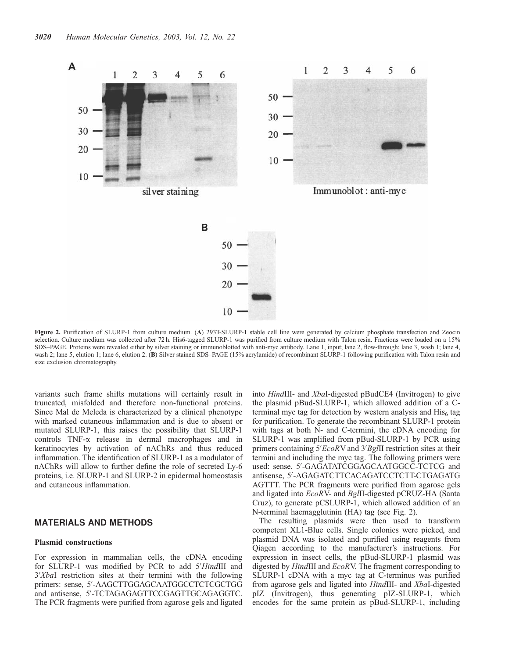

Figure 2. Purification of SLURP-1 from culture medium. (A) 293T-SLURP-1 stable cell line were generated by calcium phosphate transfection and Zeocin selection. Culture medium was collected after 72 h. His6-tagged SLURP-1 was purified from culture medium with Talon resin. Fractions were loaded on a 15% SDS–PAGE. Proteins were revealed either by silver staining or immunoblotted with anti-myc antibody. Lane 1, input; lane 2, flow-through; lane 3, wash 1; lane 4, wash 2; lane 5, elution 1; lane 6, elution 2. (B) Silver stained SDS–PAGE (15% acrylamide) of recombinant SLURP-1 following purification with Talon resin and size exclusion chromatography.

variants such frame shifts mutations will certainly result in truncated, misfolded and therefore non-functional proteins. Since Mal de Meleda is characterized by a clinical phenotype with marked cutaneous inflammation and is due to absent or mutated SLURP-1, this raises the possibility that SLURP-1 controls TNF-a release in dermal macrophages and in keratinocytes by activation of nAChRs and thus reduced inflammation. The identification of SLURP-1 as a modulator of nAChRs will allow to further define the role of secreted Ly-6 proteins, i.e. SLURP-1 and SLURP-2 in epidermal homeostasis and cutaneous inflammation.

## MATERIALS AND METHODS

# Plasmid constructions

For expression in mammalian cells, the cDNA encoding for SLURP-1 was modified by PCR to add 5'HindIII and 3'XbaI restriction sites at their termini with the following primers: sense, 5'-AAGCTTGGAGCAATGGCCTCTCGCTGG and antisense, 5'-TCTAGAGAGTTCCGAGTTGCAGAGGTC. The PCR fragments were purified from agarose gels and ligated into HindIII- and XbaI-digested pBudCE4 (Invitrogen) to give the plasmid pBud-SLURP-1, which allowed addition of a Cterminal myc tag for detection by western analysis and  $His<sub>6</sub>$  tag for purification. To generate the recombinant SLURP-1 protein with tags at both N- and C-termini, the cDNA encoding for SLURP-1 was amplified from pBud-SLURP-1 by PCR using primers containing 5'EcoRV and 3'BgIII restriction sites at their termini and including the myc tag. The following primers were used: sense, 5'-GAGATATCGGAGCAATGGCC-TCTCG and antisense, 5'-AGAGATCTTCACAGATCCTCTT-CTGAGATG AGTTT. The PCR fragments were purified from agarose gels and ligated into EcoRV- and BglII-digested pCRUZ-HA (Santa Cruz), to generate pCSLURP-1, which allowed addition of an N-terminal haemagglutinin (HA) tag (see Fig. 2).

The resulting plasmids were then used to transform competent XL1-Blue cells. Single colonies were picked, and plasmid DNA was isolated and purified using reagents from Qiagen according to the manufacturer's instructions. For expression in insect cells, the pBud-SLURP-1 plasmid was digested by HindIII and EcoRV. The fragment corresponding to SLURP-1 cDNA with a myc tag at C-terminus was purified from agarose gels and ligated into HindIII- and XbaI-digested pIZ (Invitrogen), thus generating pIZ-SLURP-1, which encodes for the same protein as pBud-SLURP-1, including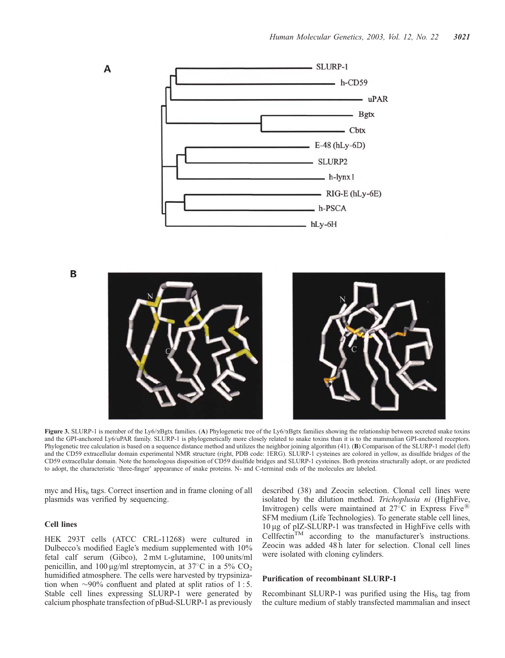

B

A



Figure 3. SLURP-1 is member of the Ly6/ $\alpha$ Bgtx families. (A) Phylogenetic tree of the Ly6/ $\alpha$ Bgtx families showing the relationship between secreted snake toxins and the GPI-anchored Ly6/uPAR family. SLURP-1 is phylogenetically more closely related to snake toxins than it is to the mammalian GPI-anchored receptors. Phylogenetic tree calculation is based on a sequence distance method and utilizes the neighbor joining algorithm (41). (B) Comparison of the SLURP-1 model (left) and the CD59 extracellular domain experimental NMR structure (right, PDB code: 1ERG). SLURP-1 cysteines are colored in yellow, as disulfide bridges of the CD59 extracellular domain. Note the homologous disposition of CD59 disulfide bridges and SLURP-1 cysteines. Both proteins structurally adopt, or are predicted to adopt, the characteristic 'three-finger' appearance of snake proteins. N- and C-terminal ends of the molecules are labeled.

myc and  $His<sub>6</sub>$  tags. Correct insertion and in frame cloning of all plasmids was verified by sequencing.

# Cell lines

HEK 293T cells (ATCC CRL-11268) were cultured in Dulbecco's modified Eagle's medium supplemented with 10% fetal calf serum (Gibco), 2 mM L-glutamine, 100 units/ml penicillin, and  $100 \mu\text{g/ml}$  streptomycin, at 37°C in a 5% CO<sub>2</sub> humidified atmosphere. The cells were harvested by trypsinization when  $\sim$ 90% confluent and plated at split ratios of 1:5. Stable cell lines expressing SLURP-1 were generated by calcium phosphate transfection of pBud-SLURP-1 as previously described (38) and Zeocin selection. Clonal cell lines were isolated by the dilution method. Trichoplusia ni (HighFive, Invitrogen) cells were maintained at 27<sup>°</sup>C in Express Five<sup><sup><sup>6</sup></sup></sup> SFM medium (Life Technologies). To generate stable cell lines, 10 mg of pIZ-SLURP-1 was transfected in HighFive cells with  $Cellfectin<sup>TM</sup>$  according to the manufacturer's instructions. Zeocin was added 48h later for selection. Clonal cell lines were isolated with cloning cylinders.

#### Purification of recombinant SLURP-1

Recombinant SLURP-1 was purified using the  $His<sub>6</sub>$  tag from the culture medium of stably transfected mammalian and insect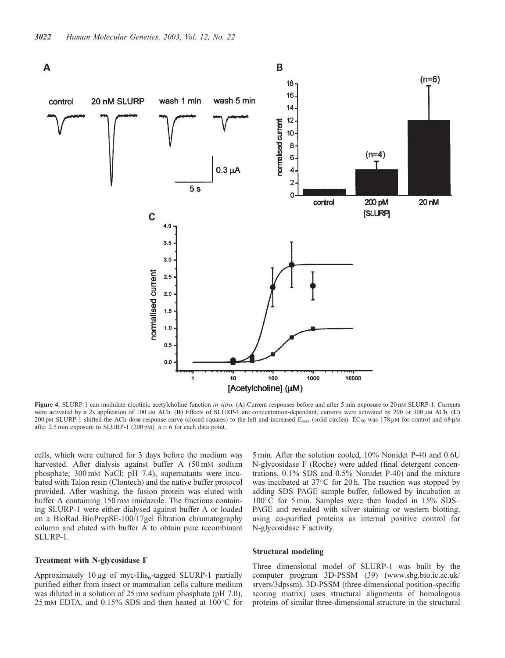

Figure 4. SLURP-1 can modulate nicotinic acetylcholine function in vitro. (A) Current responses before and after 5 min exposure to 20 nM SLURP-1. Currents were activated by a 2s application of 100 μM ACh. (B) Effects of SLURP-1 are concentration-dependant, currents were activated by 200 or 300 μM ACh. (C) 200 pM SLURP-1 shifted the ACh dose response curve (closed squares) to the left and increased  $E_{\text{max}}$  (solid circles). EC<sub>50</sub> was 178  $\mu$ M for control and 68  $\mu$ M after 2.5 min exposure to SLURP-1 (200 pM).  $n = 6$  for each data point.

cells, which were cultured for 3 days before the medium was harvested. After dialysis against buffer A (50 mM sodium phosphate; 300 mM NaCl; pH 7.4), supernatants were incubated with Talon resin (Clontech) and the native buffer protocol provided. After washing, the fusion protein was eluted with buffer A containing 150 mM imidazole. The fractions containing SLURP-1 were either dialysed against buffer A or loaded on a BioRad BioPrepSE-100/17gel filtration chromatography column and eluted with buffer A to obtain pure recombinant SLURP-1.

#### Treatment with N-glycosidase F

Approximately 10  $\mu$ g of myc-His<sub>6</sub>-tagged SLURP-1 partially purified either from insect or mammalian cells culture medium was diluted in a solution of 25 mM sodium phosphate (pH 7.0), 25 mM EDTA, and 0.15% SDS and then heated at  $100^{\circ}$ C for

5 min. After the solution cooled, 10% Nonidet P-40 and 0.6U N-glycosidase F (Roche) were added (final detergent concentrations, 0.1% SDS and 0.5% Nonidet P-40) and the mixture was incubated at 37°C for 20 h. The reaction was stopped by adding SDS–PAGE sample buffer, followed by incubation at 100°C for 5 min. Samples were then loaded in 15% SDS-PAGE and revealed with silver staining or western blotting, using co-purified proteins as internal positive control for N-glycosidase F activity.

#### Structural modeling

Three dimensional model of SLURP-1 was built by the computer program 3D-PSSM (39) (www.sbg.bio.ic.ac.uk/ srvers/3dpssm). 3D-PSSM (three-dimensional position-specific scoring matrix) uses structural alignments of homologous proteins of similar three-dimensional structure in the structural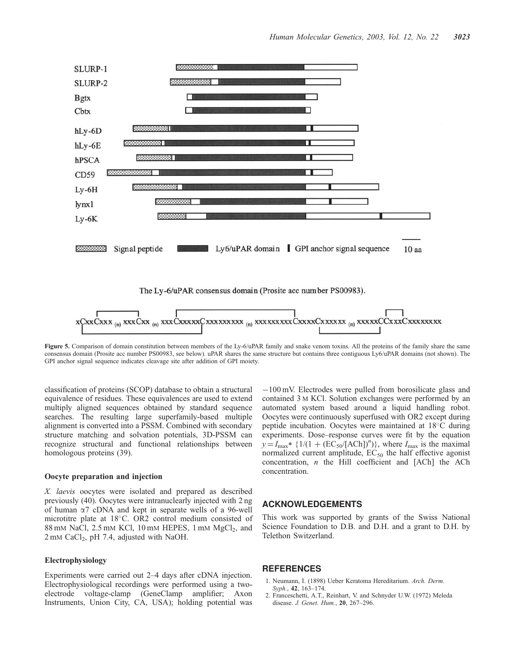

Figure 5. Comparison of domain constitution between members of the Ly-6/uPAR family and snake venom toxins. All the proteins of the family share the same consensus domain (Prosite acc number PS00983, see below). uPAR shares the same structure but contains three contiguous Ly6/uPAR domains (not shown). The GPI anchor signal sequence indicates cleavage site after addition of GPI moiety.

classification of proteins (SCOP) database to obtain a structural equivalence of residues. These equivalences are used to extend multiply aligned sequences obtained by standard sequence searches. The resulting large superfamily-based multiple alignment is converted into a PSSM. Combined with secondary structure matching and solvation potentials, 3D-PSSM can recognize structural and functional relationships between homologous proteins (39).

#### Oocyte preparation and injection

X. laevis oocytes were isolated and prepared as described previously (40). Oocytes were intranuclearly injected with 2 ng of human  $\alpha$ 7 cDNA and kept in separate wells of a 96-well microtitre plate at 18°C. OR2 control medium consisted of 88 mM NaCl,  $2.5$  mM KCl,  $10$  mM HEPES,  $1$  mM MgCl<sub>2</sub>, and  $2 \text{ mM }$  CaCl<sub>2</sub>, pH 7.4, adjusted with NaOH.

#### Electrophysiology

Experiments were carried out 2–4 days after cDNA injection. Electrophysiological recordings were performed using a twoelectrode voltage-clamp (GeneClamp amplifier; Axon Instruments, Union City, CA, USA); holding potential was

 $-100$  mV. Electrodes were pulled from borosilicate glass and contained 3 M KCl. Solution exchanges were performed by an automated system based around a liquid handling robot. Oocytes were continuously superfused with OR2 except during peptide incubation. Oocytes were maintained at 18°C during experiments. Dose–response curves were fit by the equation  $y = I_{\text{max}} * \{1/(1 + (EC_{50} / [ACh])^{n})\}\text{, where } I_{\text{max}} \text{ is the maximal.}$ normalized current amplitude,  $EC_{50}$  the half effective agonist concentration,  $n$  the Hill coefficient and [ACh] the ACh concentration.

#### ACKNOWLEDGEMENTS

This work was supported by grants of the Swiss National Science Foundation to D.B. and D.H. and a grant to D.H. by Telethon Switzerland.

# REFERENCES

- 1. Neumann, I. (1898) Ueber Keratoma Hereditarium. Arch. Derm. Syph., 42, 163–174.
- 2. Franceschetti, A.T., Reinhart, V. and Schnyder U.W. (1972) Meleda disease. J. Genet. Hum., 20, 267–296.